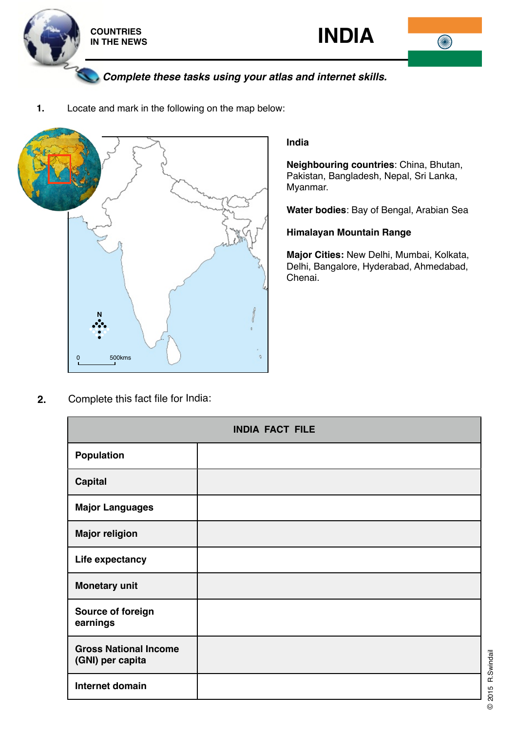





*Complete these tasks using your atlas and internet skills.*

**1.** Locate and mark in the following on the map below:



## **India**

**Neighbouring countries**: China, Bhutan, Pakistan, Bangladesh, Nepal, Sri Lanka, Myanmar.

**Water bodies**: Bay of Bengal, Arabian Sea

## **Himalayan Mountain Range**

**Major Cities:** New Delhi, Mumbai, Kolkata, Delhi, Bangalore, Hyderabad, Ahmedabad, Chenai.

**2.** Complete this fact file for India:

| <b>INDIA FACT FILE</b>                           |  |
|--------------------------------------------------|--|
| <b>Population</b>                                |  |
| <b>Capital</b>                                   |  |
| <b>Major Languages</b>                           |  |
| <b>Major religion</b>                            |  |
| Life expectancy                                  |  |
| <b>Monetary unit</b>                             |  |
| Source of foreign<br>earnings                    |  |
| <b>Gross National Income</b><br>(GNI) per capita |  |
| Internet domain                                  |  |

© 2015 R.Swindail © 2015 R.Swindail